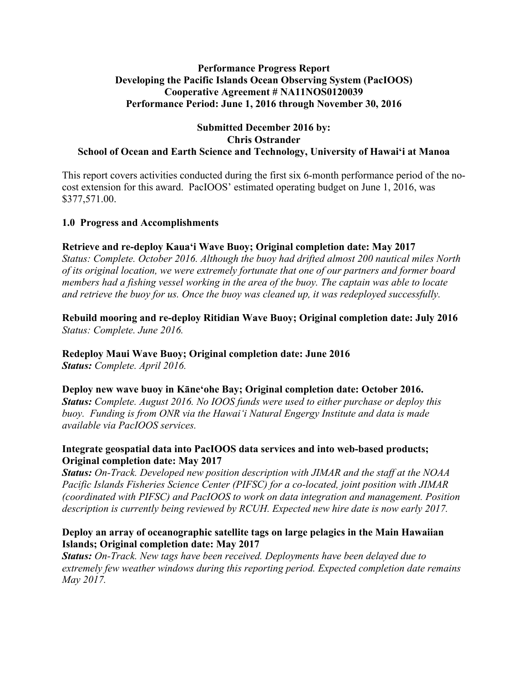## **Performance Progress Report Developing the Pacific Islands Ocean Observing System (PacIOOS) Cooperative Agreement # NA11NOS0120039 Performance Period: June 1, 2016 through November 30, 2016**

### **Submitted December 2016 by: Chris Ostrander School of Ocean and Earth Science and Technology, University of Hawaiʻi at Manoa**

This report covers activities conducted during the first six 6-month performance period of the nocost extension for this award. PacIOOS' estimated operating budget on June 1, 2016, was \$377,571.00.

# **1.0 Progress and Accomplishments**

## **Retrieve and re-deploy Kauaʻi Wave Buoy; Original completion date: May 2017**

*Status: Complete. October 2016. Although the buoy had drifted almost 200 nautical miles North of its original location, we were extremely fortunate that one of our partners and former board members had a fishing vessel working in the area of the buoy. The captain was able to locate and retrieve the buoy for us. Once the buoy was cleaned up, it was redeployed successfully.*

## **Rebuild mooring and re-deploy Ritidian Wave Buoy; Original completion date: July 2016** *Status: Complete. June 2016.*

# **Redeploy Maui Wave Buoy; Original completion date: June 2016**

*Status: Complete. April 2016.*

**Deploy new wave buoy in Kāneʻohe Bay; Original completion date: October 2016.** *Status: Complete. August 2016. No IOOS funds were used to either purchase or deploy this* 

*buoy. Funding is from ONR via the Hawaiʻi Natural Engergy Institute and data is made available via PacIOOS services.*

## **Integrate geospatial data into PacIOOS data services and into web-based products; Original completion date: May 2017**

*Status: On-Track. Developed new position description with JIMAR and the staff at the NOAA Pacific Islands Fisheries Science Center (PIFSC) for a co-located, joint position with JIMAR (coordinated with PIFSC) and PacIOOS to work on data integration and management. Position description is currently being reviewed by RCUH. Expected new hire date is now early 2017.*

# **Deploy an array of oceanographic satellite tags on large pelagics in the Main Hawaiian Islands; Original completion date: May 2017**

*Status: On-Track. New tags have been received. Deployments have been delayed due to extremely few weather windows during this reporting period. Expected completion date remains May 2017.*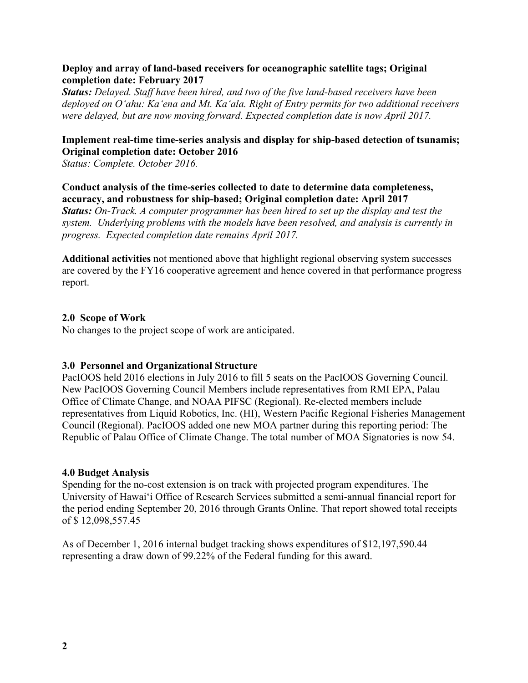## **Deploy and array of land-based receivers for oceanographic satellite tags; Original completion date: February 2017**

*Status: Delayed. Staff have been hired, and two of the five land-based receivers have been deployed on Oʻahu: Kaʻena and Mt. Kaʻala. Right of Entry permits for two additional receivers were delayed, but are now moving forward. Expected completion date is now April 2017.*

## **Implement real-time time-series analysis and display for ship-based detection of tsunamis; Original completion date: October 2016**

*Status: Complete. October 2016.*

## **Conduct analysis of the time-series collected to date to determine data completeness, accuracy, and robustness for ship-based; Original completion date: April 2017**

*Status: On-Track. A computer programmer has been hired to set up the display and test the system. Underlying problems with the models have been resolved, and analysis is currently in progress. Expected completion date remains April 2017.*

**Additional activities** not mentioned above that highlight regional observing system successes are covered by the FY16 cooperative agreement and hence covered in that performance progress report.

### **2.0 Scope of Work**

No changes to the project scope of work are anticipated.

### **3.0 Personnel and Organizational Structure**

PacIOOS held 2016 elections in July 2016 to fill 5 seats on the PacIOOS Governing Council. New PacIOOS Governing Council Members include representatives from RMI EPA, Palau Office of Climate Change, and NOAA PIFSC (Regional). Re-elected members include representatives from Liquid Robotics, Inc. (HI), Western Pacific Regional Fisheries Management Council (Regional). PacIOOS added one new MOA partner during this reporting period: The Republic of Palau Office of Climate Change. The total number of MOA Signatories is now 54.

### **4.0 Budget Analysis**

Spending for the no-cost extension is on track with projected program expenditures. The University of Hawaiʻi Office of Research Services submitted a semi-annual financial report for the period ending September 20, 2016 through Grants Online. That report showed total receipts of \$ 12,098,557.45

As of December 1, 2016 internal budget tracking shows expenditures of \$12,197,590.44 representing a draw down of 99.22% of the Federal funding for this award.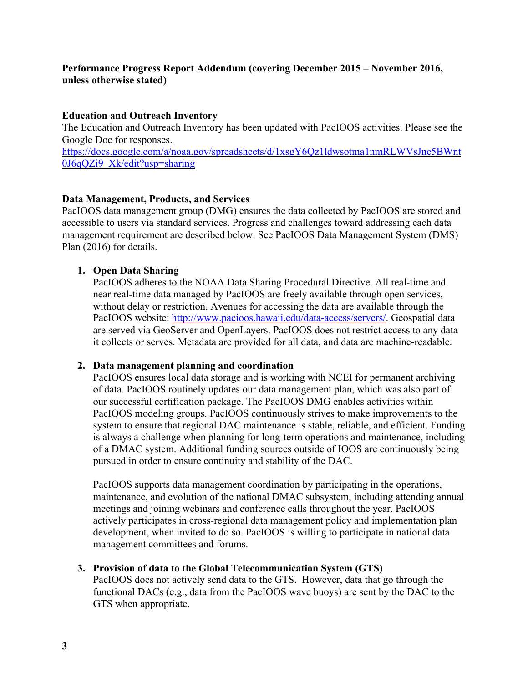# **Performance Progress Report Addendum (covering December 2015 – November 2016, unless otherwise stated)**

## **Education and Outreach Inventory**

The Education and Outreach Inventory has been updated with PacIOOS activities. Please see the Google Doc for responses. https://docs.google.com/a/noaa.gov/spreadsheets/d/1xsgY6Qz1ldwsotma1nmRLWVsJne5BWnt

0J6qQZi9\_Xk/edit?usp=sharing

# **Data Management, Products, and Services**

PacIOOS data management group (DMG) ensures the data collected by PacIOOS are stored and accessible to users via standard services. Progress and challenges toward addressing each data management requirement are described below. See PacIOOS Data Management System (DMS) Plan (2016) for details.

# **1. Open Data Sharing**

PacIOOS adheres to the NOAA Data Sharing Procedural Directive. All real-time and near real-time data managed by PacIOOS are freely available through open services, without delay or restriction. Avenues for accessing the data are available through the PacIOOS website: http://www.pacioos.hawaii.edu/data-access/servers/. Geospatial data are served via GeoServer and OpenLayers. PacIOOS does not restrict access to any data it collects or serves. Metadata are provided for all data, and data are machine-readable.

# **2. Data management planning and coordination**

PacIOOS ensures local data storage and is working with NCEI for permanent archiving of data. PacIOOS routinely updates our data management plan, which was also part of our successful certification package. The PacIOOS DMG enables activities within PacIOOS modeling groups. PacIOOS continuously strives to make improvements to the system to ensure that regional DAC maintenance is stable, reliable, and efficient. Funding is always a challenge when planning for long-term operations and maintenance, including of a DMAC system. Additional funding sources outside of IOOS are continuously being pursued in order to ensure continuity and stability of the DAC.

PacIOOS supports data management coordination by participating in the operations, maintenance, and evolution of the national DMAC subsystem, including attending annual meetings and joining webinars and conference calls throughout the year. PacIOOS actively participates in cross-regional data management policy and implementation plan development, when invited to do so. PacIOOS is willing to participate in national data management committees and forums.

# **3. Provision of data to the Global Telecommunication System (GTS)**

PacIOOS does not actively send data to the GTS. However, data that go through the functional DACs (e.g., data from the PacIOOS wave buoys) are sent by the DAC to the GTS when appropriate.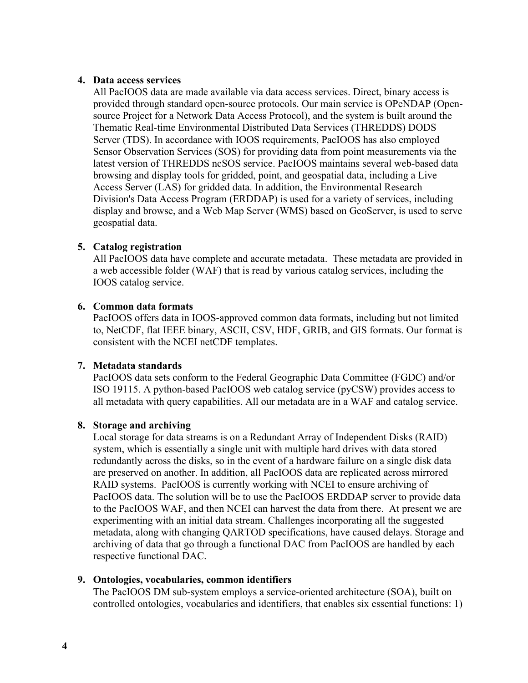### **4. Data access services**

All PacIOOS data are made available via data access services. Direct, binary access is provided through standard open-source protocols. Our main service is OPeNDAP (Opensource Project for a Network Data Access Protocol), and the system is built around the Thematic Real-time Environmental Distributed Data Services (THREDDS) DODS Server (TDS). In accordance with IOOS requirements, PacIOOS has also employed Sensor Observation Services (SOS) for providing data from point measurements via the latest version of THREDDS ncSOS service. PacIOOS maintains several web-based data browsing and display tools for gridded, point, and geospatial data, including a Live Access Server (LAS) for gridded data. In addition, the Environmental Research Division's Data Access Program (ERDDAP) is used for a variety of services, including display and browse, and a Web Map Server (WMS) based on GeoServer, is used to serve geospatial data.

### **5. Catalog registration**

All PacIOOS data have complete and accurate metadata. These metadata are provided in a web accessible folder (WAF) that is read by various catalog services, including the IOOS catalog service.

#### **6. Common data formats**

PacIOOS offers data in IOOS-approved common data formats, including but not limited to, NetCDF, flat IEEE binary, ASCII, CSV, HDF, GRIB, and GIS formats. Our format is consistent with the NCEI netCDF templates.

#### **7. Metadata standards**

PacIOOS data sets conform to the Federal Geographic Data Committee (FGDC) and/or ISO 19115. A python-based PacIOOS web catalog service (pyCSW) provides access to all metadata with query capabilities. All our metadata are in a WAF and catalog service.

#### **8. Storage and archiving**

Local storage for data streams is on a Redundant Array of Independent Disks (RAID) system, which is essentially a single unit with multiple hard drives with data stored redundantly across the disks, so in the event of a hardware failure on a single disk data are preserved on another. In addition, all PacIOOS data are replicated across mirrored RAID systems. PacIOOS is currently working with NCEI to ensure archiving of PacIOOS data. The solution will be to use the PacIOOS ERDDAP server to provide data to the PacIOOS WAF, and then NCEI can harvest the data from there. At present we are experimenting with an initial data stream. Challenges incorporating all the suggested metadata, along with changing QARTOD specifications, have caused delays. Storage and archiving of data that go through a functional DAC from PacIOOS are handled by each respective functional DAC.

#### **9. Ontologies, vocabularies, common identifiers**

The PacIOOS DM sub-system employs a service-oriented architecture (SOA), built on controlled ontologies, vocabularies and identifiers, that enables six essential functions: 1)